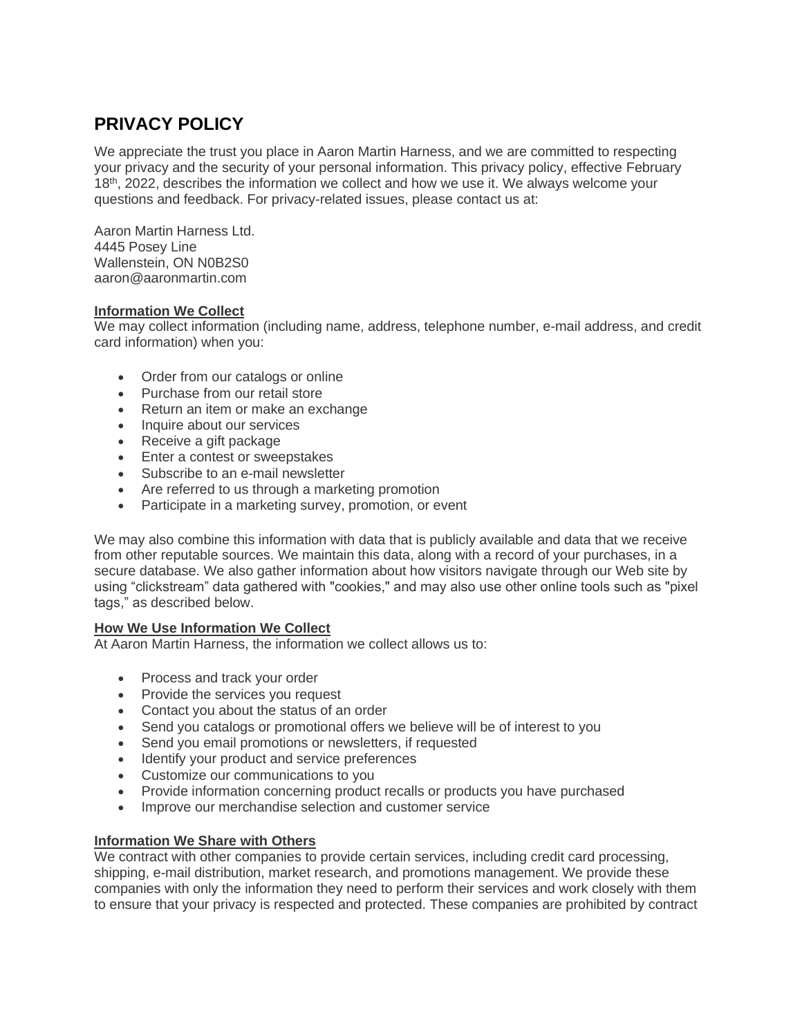# **PRIVACY POLICY**

We appreciate the trust you place in Aaron Martin Harness, and we are committed to respecting your privacy and the security of your personal information. This privacy policy, effective February 18th, 2022, describes the information we collect and how we use it. We always welcome your questions and feedback. For privacy-related issues, please contact us at:

Aaron Martin Harness Ltd. 4445 Posey Line Wallenstein, ON N0B2S0 aaron@aaronmartin.com

# **Information We Collect**

We may collect information (including name, address, telephone number, e-mail address, and credit card information) when you:

- Order from our catalogs or online
- Purchase from our retail store
- Return an item or make an exchange
- Inquire about our services
- Receive a gift package
- Enter a contest or sweepstakes
- Subscribe to an e-mail newsletter
- Are referred to us through a marketing promotion
- Participate in a marketing survey, promotion, or event

We may also combine this information with data that is publicly available and data that we receive from other reputable sources. We maintain this data, along with a record of your purchases, in a secure database. We also gather information about how visitors navigate through our Web site by using "clickstream" data gathered with "cookies," and may also use other online tools such as "pixel tags," as described below.

# **How We Use Information We Collect**

At Aaron Martin Harness, the information we collect allows us to:

- Process and track your order
- Provide the services you request
- Contact you about the status of an order
- Send you catalogs or promotional offers we believe will be of interest to you
- Send you email promotions or newsletters, if requested
- Identify your product and service preferences
- Customize our communications to you
- Provide information concerning product recalls or products you have purchased
- Improve our merchandise selection and customer service

# **Information We Share with Others**

We contract with other companies to provide certain services, including credit card processing, shipping, e-mail distribution, market research, and promotions management. We provide these companies with only the information they need to perform their services and work closely with them to ensure that your privacy is respected and protected. These companies are prohibited by contract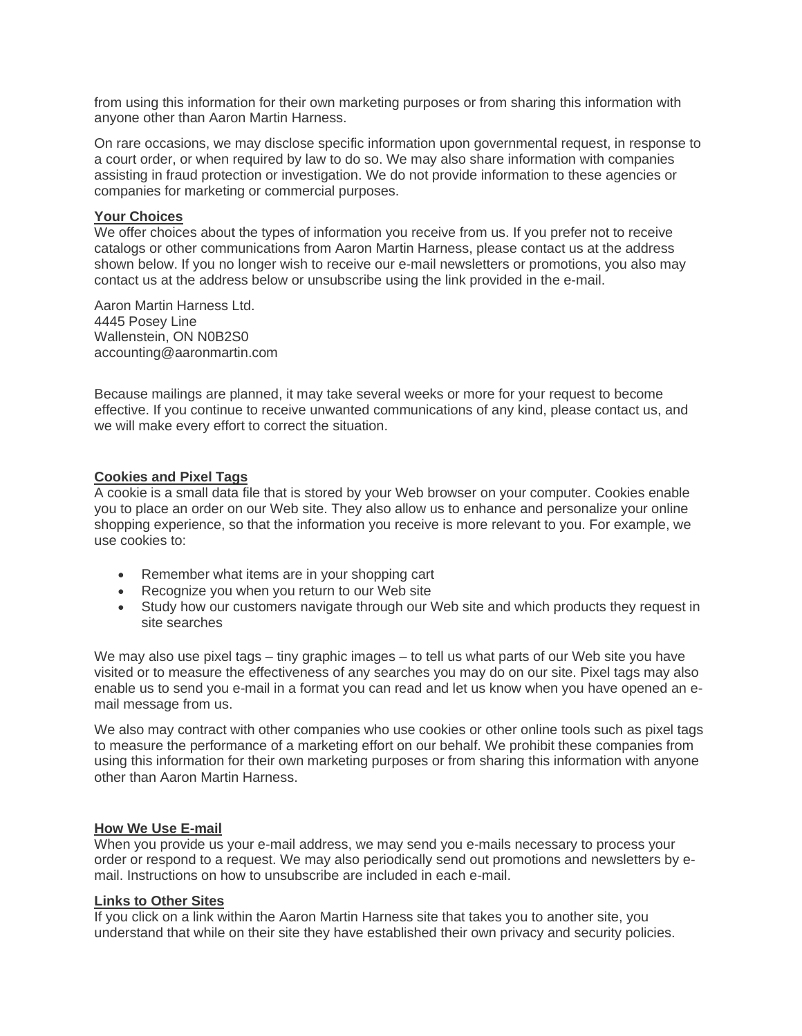from using this information for their own marketing purposes or from sharing this information with anyone other than Aaron Martin Harness.

On rare occasions, we may disclose specific information upon governmental request, in response to a court order, or when required by law to do so. We may also share information with companies assisting in fraud protection or investigation. We do not provide information to these agencies or companies for marketing or commercial purposes.

## **Your Choices**

We offer choices about the types of information you receive from us. If you prefer not to receive catalogs or other communications from Aaron Martin Harness, please contact us at the address shown below. If you no longer wish to receive our e-mail newsletters or promotions, you also may contact us at the address below or unsubscribe using the link provided in the e-mail.

Aaron Martin Harness Ltd. 4445 Posey Line Wallenstein, ON N0B2S0 accounting@aaronmartin.com

Because mailings are planned, it may take several weeks or more for your request to become effective. If you continue to receive unwanted communications of any kind, please contact us, and we will make every effort to correct the situation.

# **Cookies and Pixel Tags**

A cookie is a small data file that is stored by your Web browser on your computer. Cookies enable you to place an order on our Web site. They also allow us to enhance and personalize your online shopping experience, so that the information you receive is more relevant to you. For example, we use cookies to:

- Remember what items are in your shopping cart
- Recognize you when you return to our Web site
- Study how our customers navigate through our Web site and which products they request in site searches

We may also use pixel tags – tiny graphic images – to tell us what parts of our Web site you have visited or to measure the effectiveness of any searches you may do on our site. Pixel tags may also enable us to send you e-mail in a format you can read and let us know when you have opened an email message from us.

We also may contract with other companies who use cookies or other online tools such as pixel tags to measure the performance of a marketing effort on our behalf. We prohibit these companies from using this information for their own marketing purposes or from sharing this information with anyone other than Aaron Martin Harness.

## **How We Use E-mail**

When you provide us your e-mail address, we may send you e-mails necessary to process your order or respond to a request. We may also periodically send out promotions and newsletters by email. Instructions on how to unsubscribe are included in each e-mail.

#### **Links to Other Sites**

If you click on a link within the Aaron Martin Harness site that takes you to another site, you understand that while on their site they have established their own privacy and security policies.